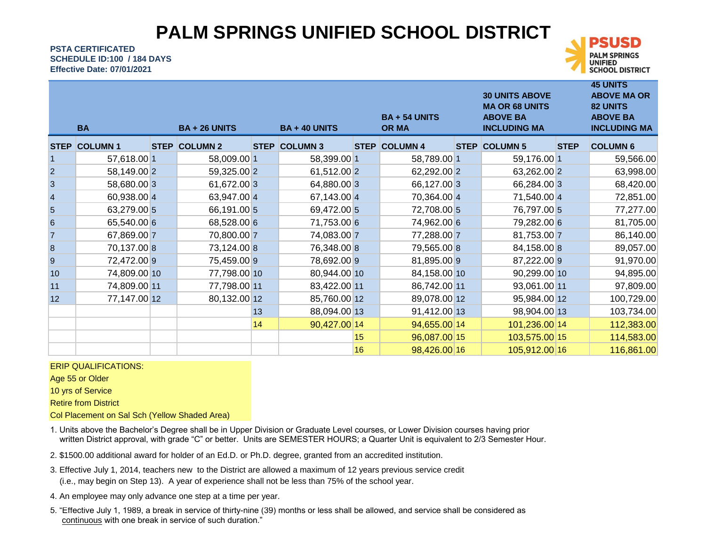## **PALM SPRINGS UNIFIED SCHOOL DISTRICT**

**PSTA CERTIFICATED Effective Date: 07/01/2021 SCHEDULE ID:100 / 184 DAYS**



**45 UNITS** 

|                  | <b>BA</b>      |             | <b>BA + 26 UNITS</b> |             | <b>BA + 40 UNITS</b> |             | <b>BA + 54 UNITS</b><br><b>OR MA</b> | <b>30 UNITS ABOVE</b><br><b>MA OR 68 UNITS</b><br><b>ABOVE BA</b><br><b>INCLUDING MA</b> |             | <b>ABOVE MA OR</b><br><b>82 UNITS</b><br><b>ABOVE BA</b><br><b>INCLUDING MA</b> |
|------------------|----------------|-------------|----------------------|-------------|----------------------|-------------|--------------------------------------|------------------------------------------------------------------------------------------|-------------|---------------------------------------------------------------------------------|
| <b>STEP</b>      | <b>COLUMN1</b> | <b>STEP</b> | <b>COLUMN 2</b>      | <b>STEP</b> | <b>COLUMN 3</b>      | <b>STEP</b> | <b>COLUMN 4</b>                      | <b>STEP COLUMN 5</b>                                                                     | <b>STEP</b> | <b>COLUMN 6</b>                                                                 |
|                  | 57,618.00 1    |             | 58,009.00 1          |             | 58,399.00 1          |             | 58,789.00 1                          | 59,176.00 1                                                                              |             | 59,566.00                                                                       |
| $\overline{2}$   | 58,149.00 2    |             | 59,325.00 2          |             | 61,512.00 2          |             | 62,292.00 2                          | 63,262.00 2                                                                              |             | 63,998.00                                                                       |
| $\overline{3}$   | 58,680.00 3    |             | 61,672.00 3          |             | 64,880.00 3          |             | 66,127.00 3                          | 66,284.00 3                                                                              |             | 68,420.00                                                                       |
| 4                | 60,938.00 4    |             | 63,947.00 4          |             | 67,143.00 4          |             | 70,364.00 4                          | 71,540.00 4                                                                              |             | 72,851.00                                                                       |
| 5                | 63,279.00 5    |             | 66,191.00 5          |             | 69,472.00 5          |             | 72,708.00 5                          | 76,797.00 5                                                                              |             | 77,277.00                                                                       |
| 6                | 65,540.00 6    |             | 68,528.00 6          |             | 71,753.00 6          |             | 74,962.00 6                          | 79,282.00 6                                                                              |             | 81,705.00                                                                       |
| $\overline{7}$   | 67,869.00 7    |             | 70,800.00 7          |             | 74,083.00 7          |             | 77,288.00 7                          | 81,753.00 7                                                                              |             | 86,140.00                                                                       |
| $\boldsymbol{8}$ | 70,137.00 8    |             | 73,124.00 8          |             | 76,348.00 8          |             | 79,565.00 8                          | 84,158.00 8                                                                              |             | 89,057.00                                                                       |
| 9                | 72,472.00 9    |             | 75,459.00 9          |             | 78,692.00 9          |             | 81,895.00 9                          | 87,222.00 9                                                                              |             | 91,970.00                                                                       |
| 10 <sup>1</sup>  | 74,809.00 10   |             | 77,798.00 10         |             | 80,944.00 10         |             | 84,158.00 10                         | 90,299.00 10                                                                             |             | 94,895.00                                                                       |
| 11               | 74,809.00 11   |             | 77,798.00 11         |             | 83,422.00 11         |             | 86,742.00 11                         | 93,061.00 11                                                                             |             | 97,809.00                                                                       |
| 12               | 77,147.00 12   |             | 80,132.00 12         |             | 85,760.00 12         |             | 89,078.00 12                         | 95,984.00 12                                                                             |             | 100,729.00                                                                      |
|                  |                |             |                      | 13          | 88,094.00 13         |             | 91,412.00 13                         | 98,904.00 13                                                                             |             | 103,734.00                                                                      |
|                  |                |             |                      | 14          | 90,427.00 14         |             | 94,655.00 14                         | 101,236.00 14                                                                            |             | 112,383.00                                                                      |
|                  |                |             |                      |             |                      | 15          | 96,087.00 15                         | 103,575.00 15                                                                            |             | 114,583.00                                                                      |
|                  |                |             |                      |             |                      | 16          | 98,426.00 16                         | 105,912.00 16                                                                            |             | 116,861.00                                                                      |

#### ERIP QUALIFICATIONS:

Age 55 or Older

10 yrs of Service

Retire from District

Col Placement on Sal Sch (Yellow Shaded Area)

1. Units above the Bachelor's Degree shall be in Upper Division or Graduate Level courses, or Lower Division courses having prior written District approval, with grade "C" or better. Units are SEMESTER HOURS; a Quarter Unit is equivalent to 2/3 Semester Hour.

- 2. \$1500.00 additional award for holder of an Ed.D. or Ph.D. degree, granted from an accredited institution.
- (i.e., may begin on Step 13). A year of experience shall not be less than 75% of the school year. 3. Effective July 1, 2014, teachers new to the District are allowed a maximum of 12 years previous service credit
- 4. An employee may only advance one step at a time per year.
- 5. "Effective July 1, 1989, a break in service of thirty-nine (39) months or less shall be allowed, and service shall be considered as continuous with one break in service of such duration."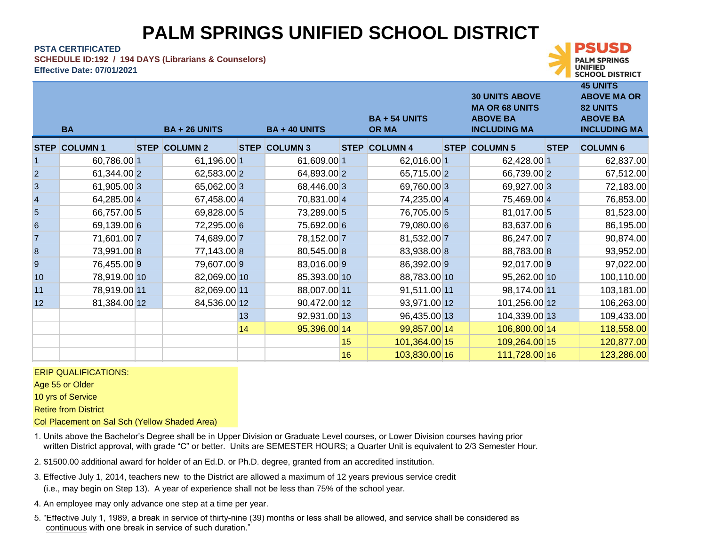# **PALM SPRINGS UNIFIED SCHOOL DISTRICT**

**45 UNITS** 

**SCHOOL DISTRICT** 

UNIFIED

**PSTA CERTIFICATED**

**SCHEDULE ID:192 / 194 DAYS (Librarians & Counselors)**

**Effective Date: 07/01/2021**

|                         | <b>BA</b>           | <b>BA + 26 UNITS</b> |             | <b>BA + 40 UNITS</b> |    | <b>BA + 54 UNITS</b><br><b>OR MA</b> | <b>30 UNITS ABOVE</b><br><b>MA OR 68 UNITS</b><br><b>ABOVE BA</b><br><b>INCLUDING MA</b> |             | 43 UNI 1 3<br><b>ABOVE MA OR</b><br>82 UNITS<br><b>ABOVE BA</b><br><b>INCLUDING MA</b> |
|-------------------------|---------------------|----------------------|-------------|----------------------|----|--------------------------------------|------------------------------------------------------------------------------------------|-------------|----------------------------------------------------------------------------------------|
|                         | <b>STEP COLUMN1</b> | <b>STEP COLUMN 2</b> | <b>STEP</b> | <b>COLUMN 3</b>      |    | <b>STEP COLUMN 4</b>                 | <b>STEP COLUMN 5</b>                                                                     | <b>STEP</b> | <b>COLUMN 6</b>                                                                        |
| $\mathbf{1}$            | 60,786.00 1         | 61,196.00 1          |             | 61,609.00 1          |    | 62,016.00 1                          | 62,428.00 1                                                                              |             | 62,837.00                                                                              |
| $\overline{a}$          | 61,344.00 2         | 62,583.00 2          |             | 64,893.00 2          |    | 65,715.00 2                          | 66,739.00 2                                                                              |             | 67,512.00                                                                              |
| 3                       | 61,905.00 3         | 65,062.00 3          |             | 68,446.00 3          |    | 69,760.00 3                          | 69,927.00 3                                                                              |             | 72,183.00                                                                              |
| $\overline{\mathbf{4}}$ | 64,285.00 4         | 67,458.00 4          |             | 70,831.00 4          |    | 74,235.00 4                          | 75,469.00 4                                                                              |             | 76,853.00                                                                              |
| 5                       | 66,757.00 5         | 69,828.00 5          |             | 73,289.00 5          |    | 76,705.00 5                          | 81,017.00 5                                                                              |             | 81,523.00                                                                              |
| $6\phantom{a}$          | 69,139.00 6         | 72,295.00 6          |             | 75,692.00 6          |    | 79,080.00 6                          | 83,637.00 6                                                                              |             | 86,195.00                                                                              |
| $\overline{7}$          | 71,601.00 7         | 74,689.00 7          |             | 78,152.00 7          |    | 81,532.00 7                          | 86,247.00 7                                                                              |             | 90,874.00                                                                              |
| 8                       | 73,991.00 8         | 77,143.00 8          |             | 80,545.00 8          |    | 83,938.00 8                          | 88,783.00 8                                                                              |             | 93,952.00                                                                              |
| 9                       | 76,455.00 9         | 79,607.009           |             | 83,016.00 9          |    | 86,392.009                           | 92,017.00 9                                                                              |             | 97,022.00                                                                              |
| 10                      | 78,919.00 10        | 82,069.00 10         |             | 85,393.00 10         |    | 88,783.00 10                         | 95,262.00 10                                                                             |             | 100,110.00                                                                             |
| 11                      | 78,919.00 11        | 82,069.00 11         |             | 88,007.00 11         |    | 91,511.00 11                         | 98,174.00 11                                                                             |             | 103,181.00                                                                             |
| 12                      | 81,384.00 12        | 84,536.00 12         |             | 90,472.00 12         |    | 93,971.00 12                         | 101,256.00 12                                                                            |             | 106,263.00                                                                             |
|                         |                     |                      | 13          | 92,931.00 13         |    | 96,435.00 13                         | 104,339.00 13                                                                            |             | 109,433.00                                                                             |
|                         |                     |                      | 14          | 95,396.00 14         |    | 99,857.00 14                         | 106,800.00 14                                                                            |             | 118,558.00                                                                             |
|                         |                     |                      |             |                      | 15 | 101,364.00 15                        | 109,264.00 15                                                                            |             | 120,877.00                                                                             |
|                         |                     |                      |             |                      | 16 | 103,830.00 16                        | 111,728.00 16                                                                            |             | 123,286.00                                                                             |

#### ERIP QUALIFICATIONS:

Age 55 or Older

10 yrs of Service

Retire from District

Col Placement on Sal Sch (Yellow Shaded Area)

- 1. Units above the Bachelor's Degree shall be in Upper Division or Graduate Level courses, or Lower Division courses having prior written District approval, with grade "C" or better. Units are SEMESTER HOURS; a Quarter Unit is equivalent to 2/3 Semester Hour.
- 2. \$1500.00 additional award for holder of an Ed.D. or Ph.D. degree, granted from an accredited institution.
- (i.e., may begin on Step 13). A year of experience shall not be less than 75% of the school year. 3. Effective July 1, 2014, teachers new to the District are allowed a maximum of 12 years previous service credit
- 4. An employee may only advance one step at a time per year.
- 5. "Effective July 1, 1989, a break in service of thirty-nine (39) months or less shall be allowed, and service shall be considered as continuous with one break in service of such duration."